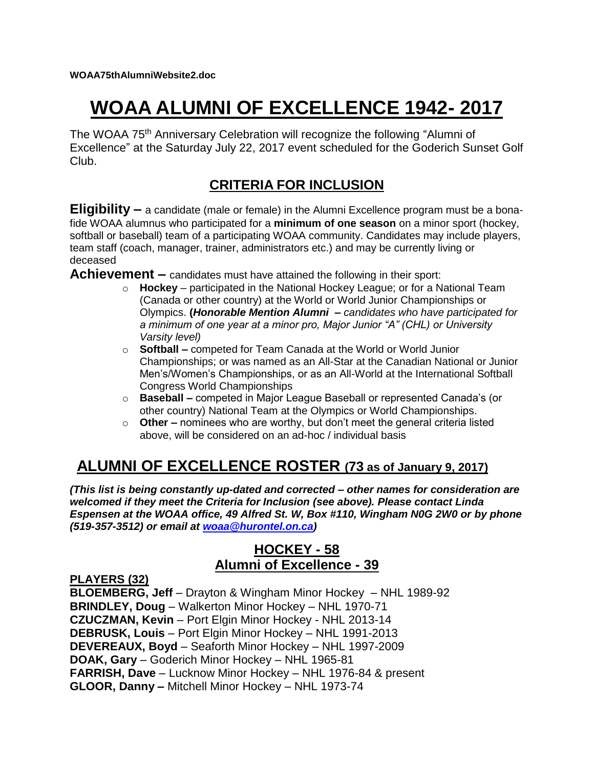# **WOAA ALUMNI OF EXCELLENCE 1942- 2017**

The WOAA 75<sup>th</sup> Anniversary Celebration will recognize the following "Alumni of Excellence" at the Saturday July 22, 2017 event scheduled for the Goderich Sunset Golf Club.

# **CRITERIA FOR INCLUSION**

**Eligibility –** a candidate (male or female) in the Alumni Excellence program must be a bonafide WOAA alumnus who participated for a **minimum of one season** on a minor sport (hockey, softball or baseball) team of a participating WOAA community. Candidates may include players, team staff (coach, manager, trainer, administrators etc.) and may be currently living or deceased

**Achievement –** candidates must have attained the following in their sport:

- o **Hockey**  participated in the National Hockey League; or for a National Team (Canada or other country) at the World or World Junior Championships or Olympics. **(***Honorable Mention Alumni – candidates who have participated for a minimum of one year at a minor pro, Major Junior "A" (CHL) or University Varsity level)*
- o **Softball –** competed for Team Canada at the World or World Junior Championships; or was named as an All-Star at the Canadian National or Junior Men's/Women's Championships, or as an All-World at the International Softball Congress World Championships
- o **Baseball –** competed in Major League Baseball or represented Canada's (or other country) National Team at the Olympics or World Championships.
- o **Other –** nominees who are worthy, but don't meet the general criteria listed above, will be considered on an ad-hoc / individual basis

# **ALUMNI OF EXCELLENCE ROSTER (73 as of January 9, 2017)**

*(This list is being constantly up-dated and corrected – other names for consideration are welcomed if they meet the Criteria for Inclusion (see above). Please contact Linda Espensen at the WOAA office, 49 Alfred St. W, Box #110, Wingham N0G 2W0 or by phone (519-357-3512) or email at [woaa@hurontel.on.ca\)](mailto:woaa@hurontel.on.ca)*

## **HOCKEY - 58 Alumni of Excellence - 39**

#### **PLAYERS (32)**

**BLOEMBERG, Jeff** – Drayton & Wingham Minor Hockey – NHL 1989-92 **BRINDLEY, Doug** – Walkerton Minor Hockey – NHL 1970-71 **CZUCZMAN, Kevin** – Port Elgin Minor Hockey - NHL 2013-14 **DEBRUSK, Louis** – Port Elgin Minor Hockey – NHL 1991-2013 **DEVEREAUX, Boyd** – Seaforth Minor Hockey – NHL 1997-2009 **DOAK, Gary** – Goderich Minor Hockey – NHL 1965-81 **FARRISH, Dave** – Lucknow Minor Hockey – NHL 1976-84 & present **GLOOR, Danny –** Mitchell Minor Hockey – NHL 1973-74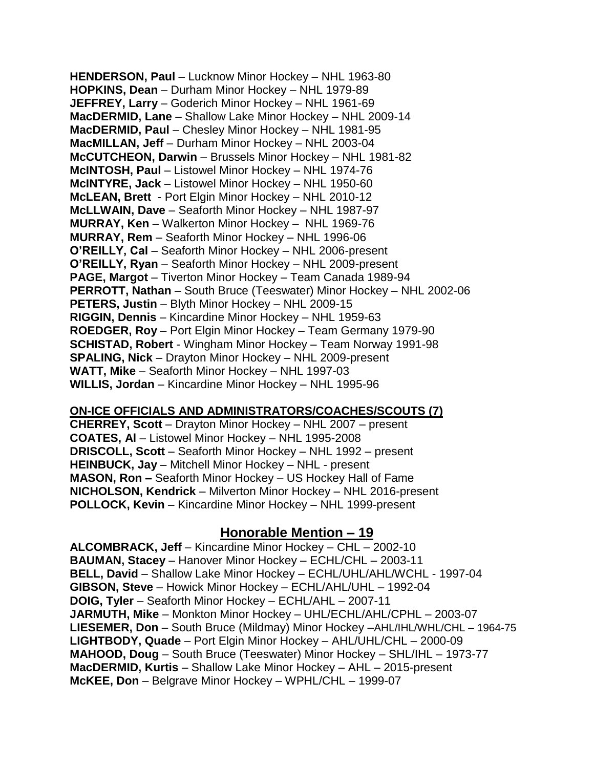**HENDERSON, Paul** – Lucknow Minor Hockey – NHL 1963-80 **HOPKINS, Dean** – Durham Minor Hockey – NHL 1979-89 **JEFFREY, Larry** – Goderich Minor Hockey – NHL 1961-69 **MacDERMID, Lane** – Shallow Lake Minor Hockey – NHL 2009-14 **MacDERMID, Paul** – Chesley Minor Hockey – NHL 1981-95 **MacMILLAN, Jeff** – Durham Minor Hockey – NHL 2003-04 **McCUTCHEON, Darwin** – Brussels Minor Hockey – NHL 1981-82 **McINTOSH, Paul** – Listowel Minor Hockey – NHL 1974-76 **McINTYRE, Jack** – Listowel Minor Hockey – NHL 1950-60 **McLEAN, Brett** - Port Elgin Minor Hockey – NHL 2010-12 **McLLWAIN, Dave** – Seaforth Minor Hockey – NHL 1987-97 **MURRAY, Ken** – Walkerton Minor Hockey – NHL 1969-76 **MURRAY, Rem** – Seaforth Minor Hockey – NHL 1996-06 **O'REILLY, Cal** – Seaforth Minor Hockey – NHL 2006-present **O'REILLY, Ryan** – Seaforth Minor Hockey – NHL 2009-present **PAGE, Margot** – Tiverton Minor Hockey – Team Canada 1989-94 **PERROTT, Nathan** – South Bruce (Teeswater) Minor Hockey – NHL 2002-06 **PETERS, Justin** – Blyth Minor Hockey – NHL 2009-15 **RIGGIN, Dennis** – Kincardine Minor Hockey – NHL 1959-63 **ROEDGER, Roy** – Port Elgin Minor Hockey – Team Germany 1979-90 **SCHISTAD, Robert** - Wingham Minor Hockey – Team Norway 1991-98 **SPALING, Nick** – Drayton Minor Hockey – NHL 2009-present **WATT, Mike** – Seaforth Minor Hockey – NHL 1997-03 **WILLIS, Jordan** – Kincardine Minor Hockey – NHL 1995-96

#### **ON-ICE OFFICIALS AND ADMINISTRATORS/COACHES/SCOUTS (7)**

**CHERREY, Scott** – Drayton Minor Hockey – NHL 2007 – present **COATES, Al** – Listowel Minor Hockey – NHL 1995-2008 **DRISCOLL, Scott** – Seaforth Minor Hockey – NHL 1992 – present **HEINBUCK, Jay** – Mitchell Minor Hockey – NHL - present **MASON, Ron –** Seaforth Minor Hockey – US Hockey Hall of Fame **NICHOLSON, Kendrick** – Milverton Minor Hockey – NHL 2016-present **POLLOCK, Kevin** – Kincardine Minor Hockey – NHL 1999-present

### **Honorable Mention – 19**

**ALCOMBRACK, Jeff** – Kincardine Minor Hockey – CHL – 2002-10 **BAUMAN, Stacey** – Hanover Minor Hockey – ECHL/CHL – 2003-11 **BELL, David** – Shallow Lake Minor Hockey – ECHL/UHL/AHL/WCHL - 1997-04 **GIBSON, Steve** – Howick Minor Hockey – ECHL/AHL/UHL – 1992-04 **DOIG, Tyler** – Seaforth Minor Hockey – ECHL/AHL – 2007-11 **JARMUTH, Mike** – Monkton Minor Hockey – UHL/ECHL/AHL/CPHL – 2003-07 **LIESEMER, Don** – South Bruce (Mildmay) Minor Hockey –AHL/IHL/WHL/CHL – 1964-75 **LIGHTBODY, Quade** – Port Elgin Minor Hockey – AHL/UHL/CHL – 2000-09 **MAHOOD, Doug** – South Bruce (Teeswater) Minor Hockey – SHL/IHL – 1973-77 **MacDERMID, Kurtis** – Shallow Lake Minor Hockey – AHL – 2015-present **McKEE, Don** – Belgrave Minor Hockey – WPHL/CHL – 1999-07